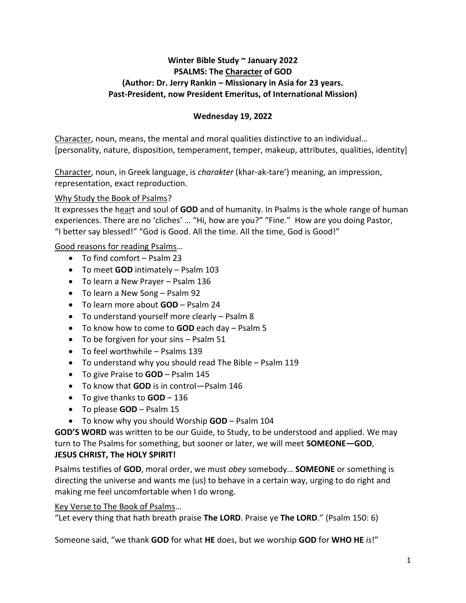### **Winter Bible Study ~ January 2022 PSALMS: The Character of GOD (Author: Dr. Jerry Rankin – Missionary in Asia for 23 years. Past-President, now President Emeritus, of International Mission)**

### **Wednesday 19, 2022**

Character, noun, means, the mental and moral qualities distinctive to an individual… [personality, nature, disposition, temperament, temper, makeup, attributes, qualities, identity]

Character, noun, in Greek language, is *charakter* (khar-ak-tare') meaning, an impression, representation, exact reproduction.

#### Why Study the Book of Psalms?

It expresses the heart and soul of **GOD** and of humanity. In Psalms is the whole range of human experiences. There are no 'cliches' … "Hi, how are you?" "Fine." How are you doing Pastor, "I better say blessed!" "God is Good. All the time. All the time, God is Good!"

### Good reasons for reading Psalms…

- To find comfort Psalm 23
- To meet **GOD** intimately Psalm 103
- To learn a New Prayer Psalm 136
- To learn a New Song Psalm 92
- To learn more about **GOD** Psalm 24
- To understand yourself more clearly Psalm 8
- To know how to come to **GOD** each day Psalm 5
- To be forgiven for your sins Psalm 51
- To feel worthwhile Psalms 139
- To understand why you should read The Bible Psalm 119
- To give Praise to **GOD** Psalm 145
- To know that **GOD** is in control—Psalm 146
- To give thanks to **GOD** 136
- To please **GOD** Psalm 15
- To know why you should Worship **GOD** Psalm 104

**GOD'S WORD** was written to be our Guide, to Study, to be understood and applied. We may turn to The Psalms for something, but sooner or later, we will meet **SOMEONE—GOD**, **JESUS CHRIST, The HOLY SPIRIT!**

Psalms testifies of **GOD**, moral order, we must *obey* somebody… **SOMEONE** or something is directing the universe and wants me (us) to behave in a certain way, urging to do right and making me feel uncomfortable when I do wrong.

#### Key Verse to The Book of Psalms…

"Let every thing that hath breath praise **The LORD**. Praise ye **The LORD**." (Psalm 150: 6)

Someone said, "we thank **GOD** for what **HE** does, but we worship **GOD** for **WHO HE** *is*!"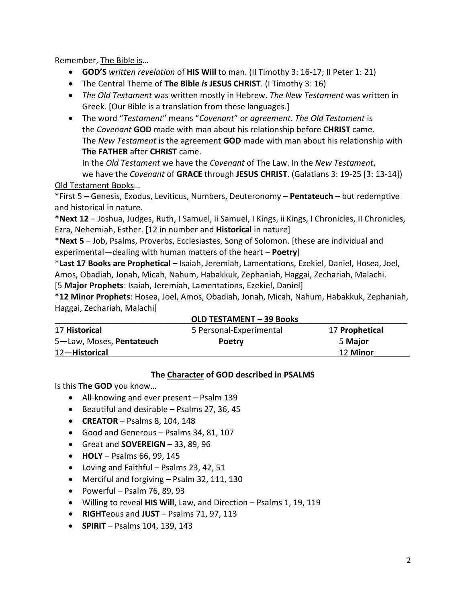Remember, The Bible is…

- **GOD'S** *written revelation* of **HIS Will** to man. (II Timothy 3: 16-17; II Peter 1: 21)
- The Central Theme of **The Bible** *is* **JESUS CHRIST**. (I Timothy 3: 16)
- *The Old Testament* was written mostly in Hebrew. *The New Testament* was written in Greek. [Our Bible is a translation from these languages.]
- The word "*Testament*" means "*Covenant*" or *agreement*. *The Old Testament* is the *Covenant* **GOD** made with man about his relationship before **CHRIST** came. The *New Testament* is the agreement **GOD** made with man about his relationship with **The FATHER** after **CHRIST** came.

In the *Old Testament* we have the *Covenant* of The Law. In the *New Testament*, we have the *Covenant* of **GRACE** through **JESUS CHRIST**. (Galatians 3: 19-25 [3: 13-14])

# Old Testament Books…

\*First 5 – Genesis, Exodus, Leviticus, Numbers, Deuteronomy – **Pentateuch** – but redemptive and historical in nature.

\***Next 12** – Joshua, Judges, Ruth, I Samuel, ii Samuel, I Kings, ii Kings, I Chronicles, II Chronicles, Ezra, Nehemiah, Esther. [12 in number and **Historical** in nature]

\***Next 5** – Job, Psalms, Proverbs, Ecclesiastes, Song of Solomon. [these are individual and experimental—dealing with human matters of the heart – **Poetry**]

\***Last 17 Books are Prophetical** – Isaiah, Jeremiah, Lamentations, Ezekiel, Daniel, Hosea, Joel, Amos, Obadiah, Jonah, Micah, Nahum, Habakkuk, Zephaniah, Haggai, Zechariah, Malachi. [5 **Major Prophets**: Isaiah, Jeremiah, Lamentations, Ezekiel, Daniel]

\***12 Minor Prophets**: Hosea, Joel, Amos, Obadiah, Jonah, Micah, Nahum, Habakkuk, Zephaniah, Haggai, Zechariah, Malachi]

| <b>OLD TESTAMENT - 39 Books</b> |                         |                |
|---------------------------------|-------------------------|----------------|
| 17 Historical                   | 5 Personal-Experimental | 17 Prophetical |
| 5-Law, Moses, Pentateuch        | <b>Poetry</b>           | 5 Major        |
| 12-Historical                   |                         | 12 Minor       |
|                                 |                         |                |

# **The Character of GOD described in PSALMS**

Is this **The GOD** you know…

- All-knowing and ever present Psalm 139
- Beautiful and desirable Psalms 27, 36, 45
- **CREATOR** Psalms 8, 104, 148
- Good and Generous Psalms 34, 81, 107
- Great and **SOVEREIGN** 33, 89, 96
- **HOLY** Psalms 66, 99, 145
- Loving and Faithful Psalms 23, 42, 51
- Merciful and forgiving Psalm 32, 111, 130
- Powerful Psalm 76, 89, 93
- Willing to reveal **HIS Will**, Law, and Direction Psalms 1, 19, 119
- **RIGHT**eous and **JUST** Psalms 71, 97, 113
- **SPIRIT** Psalms 104, 139, 143